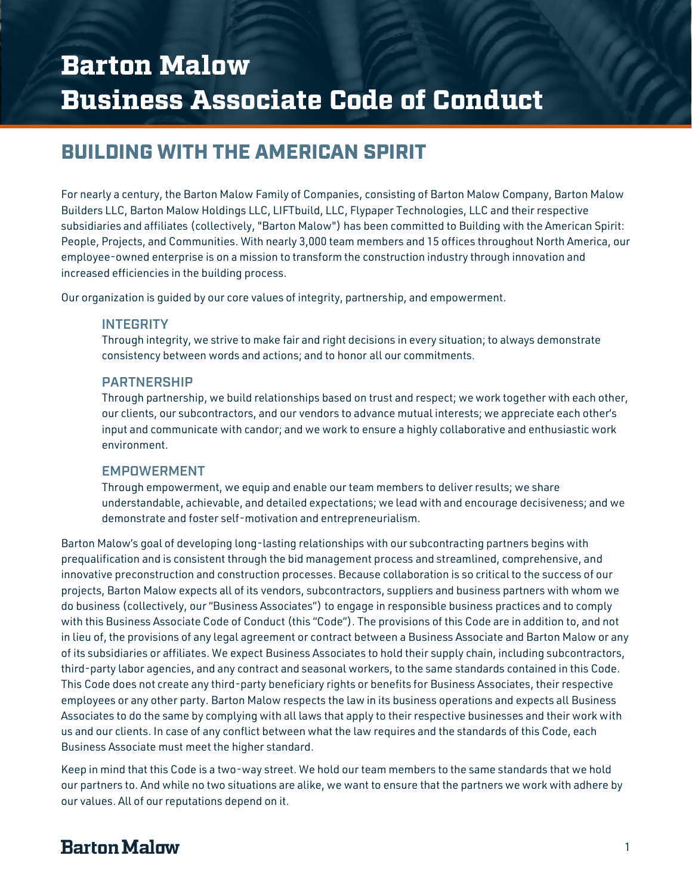# BUILDING WITH THE AMERICAN SPIRIT

For nearly a century, the Barton Malow Family of Companies, consisting of Barton Malow Company, Barton Malow Builders LLC, Barton Malow Holdings LLC, LIFTbuild, LLC, Flypaper Technologies, LLC and their respective subsidiaries and affiliates (collectively, "Barton Malow") has been committed to Building with the American Spirit: People, Projects, and Communities. With nearly 3,000 team members and 15 offices throughout North America, our employee-owned enterprise is on a mission to transform the construction industry through innovation and increased efficiencies in the building process.

Our organization is guided by our core values of integrity, partnership, and empowerment.

#### **INTEGRITY**

Through integrity, we strive to make fair and right decisions in every situation; to always demonstrate consistency between words and actions; and to honor all our commitments.

#### PARTNERSHIP

Through partnership, we build relationships based on trust and respect; we work together with each other, our clients, our subcontractors, and our vendors to advance mutual interests; we appreciate each other's input and communicate with candor; and we work to ensure a highly collaborative and enthusiastic work environment.

#### EMPOWERMENT

Through empowerment, we equip and enable our team members to deliver results; we share understandable, achievable, and detailed expectations; we lead with and encourage decisiveness; and we demonstrate and foster self-motivation and entrepreneurialism.

Barton Malow's goal of developing long-lasting relationships with our subcontracting partners begins with prequalification and is consistent through the bid management process and streamlined, comprehensive, and innovative preconstruction and construction processes. Because collaboration is so critical to the success of our projects, Barton Malow expects all of its vendors, subcontractors, suppliers and business partners with whom we do business (collectively, our "Business Associates") to engage in responsible business practices and to comply with this Business Associate Code of Conduct (this "Code"). The provisions of this Code are in addition to, and not in lieu of, the provisions of any legal agreement or contract between a Business Associate and Barton Malow or any of its subsidiaries or affiliates. We expect Business Associates to hold their supply chain, including subcontractors, third-party labor agencies, and any contract and seasonal workers, to the same standards contained in this Code. This Code does not create any third-party beneficiary rights or benefits for Business Associates, their respective employees or any other party. Barton Malow respects the law in its business operations and expects all Business Associates to do the same by complying with all laws that apply to their respective businesses and their work with us and our clients. In case of any conflict between what the law requires and the standards of this Code, each Business Associate must meet the higher standard.

Keep in mind that this Code is a two-way street. We hold our team members to the same standards that we hold our partners to. And while no two situations are alike, we want to ensure that the partners we work with adhere by our values. All of our reputations depend on it.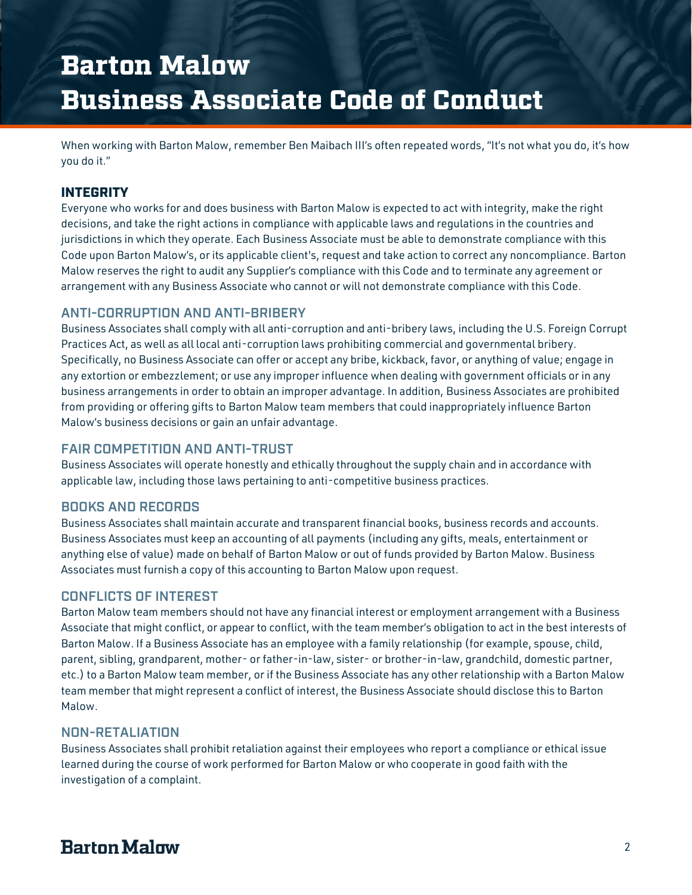When working with Barton Malow, remember Ben Maibach III's often repeated words, "It's not what you do, it's how you do it."

## INTEGRITY

Everyone who works for and does business with Barton Malow is expected to act with integrity, make the right decisions, and take the right actions in compliance with applicable laws and regulations in the countries and jurisdictions in which they operate. Each Business Associate must be able to demonstrate compliance with this Code upon Barton Malow's, or its applicable client's, request and take action to correct any noncompliance. Barton Malow reserves the right to audit any Supplier's compliance with this Code and to terminate any agreement or arrangement with any Business Associate who cannot or will not demonstrate compliance with this Code.

#### ANTI-CORRUPTION AND ANTI-BRIBERY

Business Associates shall comply with all anti-corruption and anti-bribery laws, including the U.S. Foreign Corrupt Practices Act, as well as all local anti-corruption laws prohibiting commercial and governmental bribery. Specifically, no Business Associate can offer or accept any bribe, kickback, favor, or anything of value; engage in any extortion or embezzlement; or use any improper influence when dealing with government officials or in any business arrangements in order to obtain an improper advantage. In addition, Business Associates are prohibited from providing or offering gifts to Barton Malow team members that could inappropriately influence Barton Malow's business decisions or gain an unfair advantage.

#### FAIR COMPETITION AND ANTI-TRUST

Business Associates will operate honestly and ethically throughout the supply chain and in accordance with applicable law, including those laws pertaining to anti-competitive business practices.

#### BOOKS AND RECORDS

Business Associates shall maintain accurate and transparent financial books, business records and accounts. Business Associates must keep an accounting of all payments (including any gifts, meals, entertainment or anything else of value) made on behalf of Barton Malow or out of funds provided by Barton Malow. Business Associates must furnish a copy of this accounting to Barton Malow upon request.

#### CONFLICTS OF INTEREST

Barton Malow team members should not have any financial interest or employment arrangement with a Business Associate that might conflict, or appear to conflict, with the team member's obligation to act in the best interests of Barton Malow. If a Business Associate has an employee with a family relationship (for example, spouse, child, parent, sibling, grandparent, mother- or father-in-law, sister- or brother-in-law, grandchild, domestic partner, etc.) to a Barton Malow team member, or if the Business Associate has any other relationship with a Barton Malow team member that might represent a conflict of interest, the Business Associate should disclose this to Barton Malow.

#### NON-RETALIATION

Business Associates shall prohibit retaliation against their employees who report a compliance or ethical issue learned during the course of work performed for Barton Malow or who cooperate in good faith with the investigation of a complaint.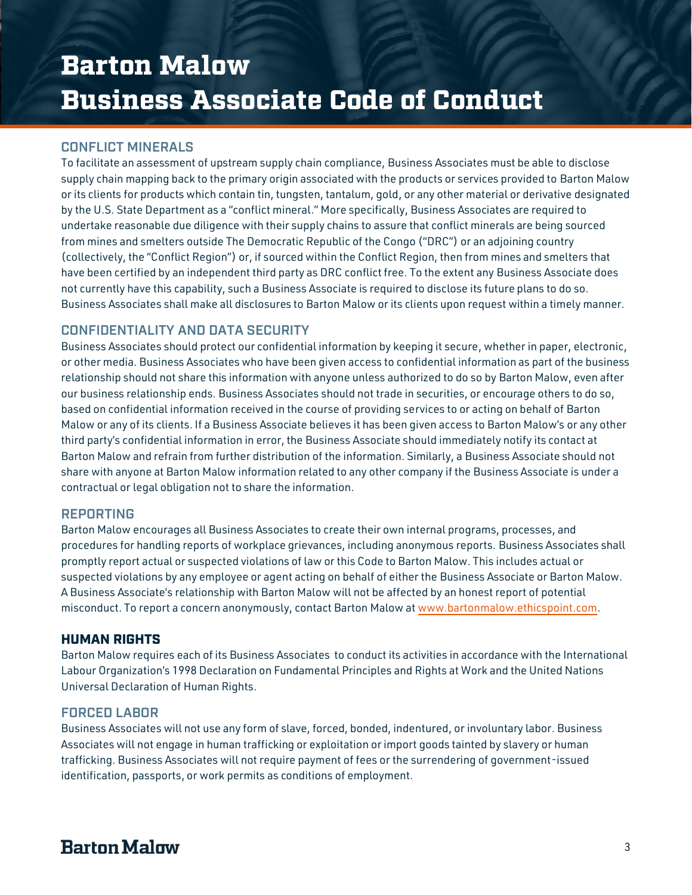### CONFLICT MINERALS

To facilitate an assessment of upstream supply chain compliance, Business Associates must be able to disclose supply chain mapping back to the primary origin associated with the products or services provided to Barton Malow or its clients for products which contain tin, tungsten, tantalum, gold, or any other material or derivative designated by the U.S. State Department as a "conflict mineral." More specifically, Business Associates are required to undertake reasonable due diligence with their supply chains to assure that conflict minerals are being sourced from mines and smelters outside The Democratic Republic of the Congo ("DRC") or an adjoining country (collectively, the "Conflict Region") or, if sourced within the Conflict Region, then from mines and smelters that have been certified by an independent third party as DRC conflict free. To the extent any Business Associate does not currently have this capability, such a Business Associate is required to disclose its future plans to do so. Business Associates shall make all disclosures to Barton Malow or its clients upon request within a timely manner.

## CONFIDENTIALITY AND DATA SECURITY

Business Associates should protect our confidential information by keeping it secure, whether in paper, electronic, or other media. Business Associates who have been given access to confidential information as part of the business relationship should not share this information with anyone unless authorized to do so by Barton Malow, even after our business relationship ends. Business Associates should not trade in securities, or encourage others to do so, based on confidential information received in the course of providing services to or acting on behalf of Barton Malow or any of its clients. If a Business Associate believes it has been given access to Barton Malow's or any other third party's confidential information in error, the Business Associate should immediately notify its contact at Barton Malow and refrain from further distribution of the information. Similarly, a Business Associate should not share with anyone at Barton Malow information related to any other company if the Business Associate is under a contractual or legal obligation not to share the information.

#### REPORTING

Barton Malow encourages all Business Associates to create their own internal programs, processes, and procedures for handling reports of workplace grievances, including anonymous reports. Business Associates shall promptly report actual or suspected violations of law or this Code to Barton Malow. This includes actual or suspected violations by any employee or agent acting on behalf of either the Business Associate or Barton Malow. A Business Associate's relationship with Barton Malow will not be affected by an honest report of potential misconduct. To report a concern anonymously, contact Barton Malow a[t www.bartonmalow.ethicspoint.com.](http://www.bartonmalow.ethicspoint.com/)

#### HUMAN RIGHTS

Barton Malow requires each of its Business Associates to conduct its activities in accordance with the International Labour Organization's 1998 Declaration on Fundamental Principles and Rights at Work and the United Nations Universal Declaration of Human Rights.

#### FORCED LABOR

Business Associates will not use any form of slave, forced, bonded, indentured, or involuntary labor. Business Associates will not engage in human trafficking or exploitation or import goods tainted by slavery or human trafficking. Business Associates will not require payment of fees or the surrendering of government-issued identification, passports, or work permits as conditions of employment.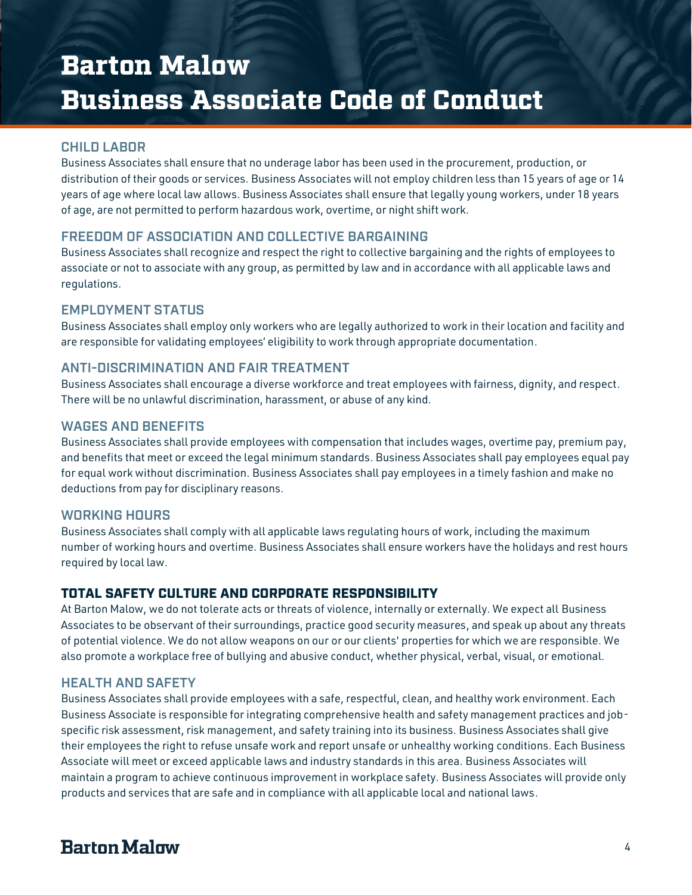### CHILD LABOR

Business Associates shall ensure that no underage labor has been used in the procurement, production, or distribution of their goods or services. Business Associates will not employ children less than 15 years of age or 14 years of age where local law allows. Business Associates shall ensure that legally young workers, under 18 years of age, are not permitted to perform hazardous work, overtime, or night shift work.

## FREEDOM OF ASSOCIATION AND COLLECTIVE BARGAINING

Business Associates shall recognize and respect the right to collective bargaining and the rights of employees to associate or not to associate with any group, as permitted by law and in accordance with all applicable laws and regulations.

### EMPLOYMENT STATUS

Business Associates shall employ only workers who are legally authorized to work in their location and facility and are responsible for validating employees' eligibility to work through appropriate documentation.

## ANTI-DISCRIMINATION AND FAIR TREATMENT

Business Associates shall encourage a diverse workforce and treat employees with fairness, dignity, and respect. There will be no unlawful discrimination, harassment, or abuse of any kind.

#### WAGES AND BENEFITS

Business Associates shall provide employees with compensation that includes wages, overtime pay, premium pay, and benefits that meet or exceed the legal minimum standards. Business Associates shall pay employees equal pay for equal work without discrimination. Business Associates shall pay employees in a timely fashion and make no deductions from pay for disciplinary reasons.

#### WORKING HOURS

Business Associates shall comply with all applicable laws regulating hours of work, including the maximum number of working hours and overtime. Business Associates shall ensure workers have the holidays and rest hours required by local law.

#### TOTAL SAFETY CULTURE AND CORPORATE RESPONSIBILITY

At Barton Malow, we do not tolerate acts or threats of violence, internally or externally. We expect all Business Associates to be observant of their surroundings, practice good security measures, and speak up about any threats of potential violence. We do not allow weapons on our or our clients' properties for which we are responsible. We also promote a workplace free of bullying and abusive conduct, whether physical, verbal, visual, or emotional.

#### HEALTH AND SAFETY

Business Associates shall provide employees with a safe, respectful, clean, and healthy work environment. Each Business Associate is responsible for integrating comprehensive health and safety management practices and jobspecific risk assessment, risk management, and safety training into its business. Business Associates shall give their employees the right to refuse unsafe work and report unsafe or unhealthy working conditions. Each Business Associate will meet or exceed applicable laws and industry standards in this area. Business Associates will maintain a program to achieve continuous improvement in workplace safety. Business Associates will provide only products and services that are safe and in compliance with all applicable local and national laws.